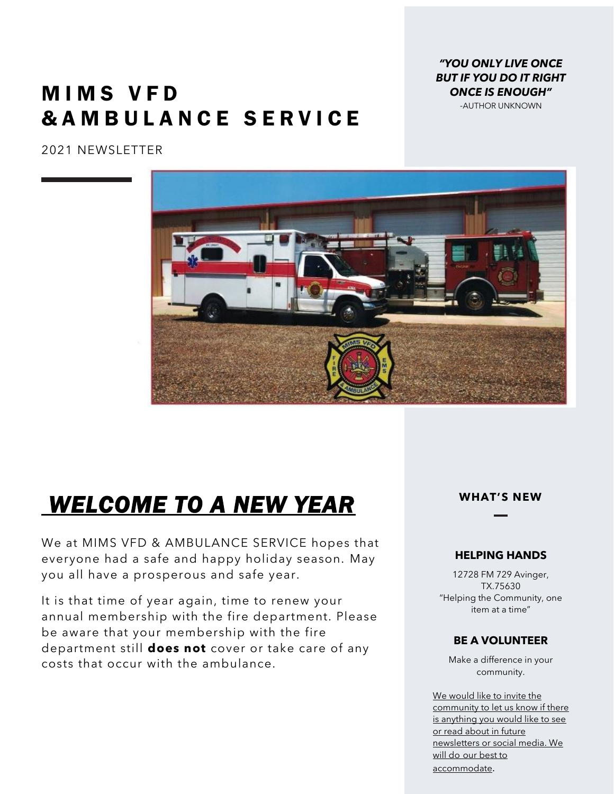*"YOU ONLY LIVE ONCE BUT IF YOU DO IT RIGHT ONCE IS ENOUGH"*

-AUTHOR UNKNOWN

## MIMS VFD & A M B U L A N C E S E R V I C E

2021 NEWSLETTER



# *WELCOME TO A NEW YEAR*

We at MIMS VFD & AMBULANCE SERVICE hopes that everyone had a safe and happy holiday season. May you all have a prosperous and safe year.

It is that time of year again, time to renew your annual membership with the fire department. Please be aware that your membership with the fire department still **does not** cover or take care of any costs that occur with the ambulance.

#### **WHAT'S NEW**

#### **HELPING HANDS**

12728 FM 729 Avinger, TX.75630 "Helping the Community, one item at a time"

#### **BE A VOLUNTEER**

Make a difference in your community.

We would like to invite the community to let us know if there is anything you would like to see or read about in future newsletters or social media. We will do our best to accommodate.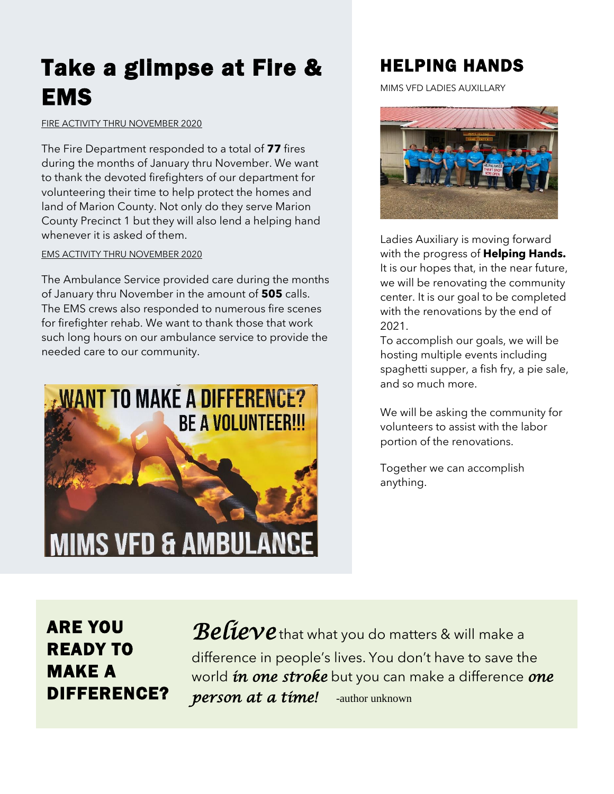## Take a glimpse at Fire & EMS

FIRE ACTIVITY THRU NOVEMBER 2020

The Fire Department responded to a total of **77** fires during the months of January thru November. We want to thank the devoted firefighters of our department for volunteering their time to help protect the homes and land of Marion County. Not only do they serve Marion County Precinct 1 but they will also lend a helping hand whenever it is asked of them.

#### EMS ACTIVITY THRU NOVEMBER 2020

The Ambulance Service provided care during the months of January thru November in the amount of **505** calls. The EMS crews also responded to numerous fire scenes for firefighter rehab. We want to thank those that work such long hours on our ambulance service to provide the needed care to our community.



## HELPING HANDS

MIMS VFD LADIES AUXILLARY



Ladies Auxiliary is moving forward with the progress of **Helping Hands.**  It is our hopes that, in the near future, we will be renovating the community center. It is our goal to be completed with the renovations by the end of 2021.

To accomplish our goals, we will be hosting multiple events including spaghetti supper, a fish fry, a pie sale, and so much more.

We will be asking the community for volunteers to assist with the labor portion of the renovations.

Together we can accomplish anything.

## ARE YOU READY TO MAKE A DIFFERENCE?

*Believe*that what you do matters & will make a difference in people's lives. You don't have to save the world *in one stroke* but you can make a difference *one person at a time!* -author unknown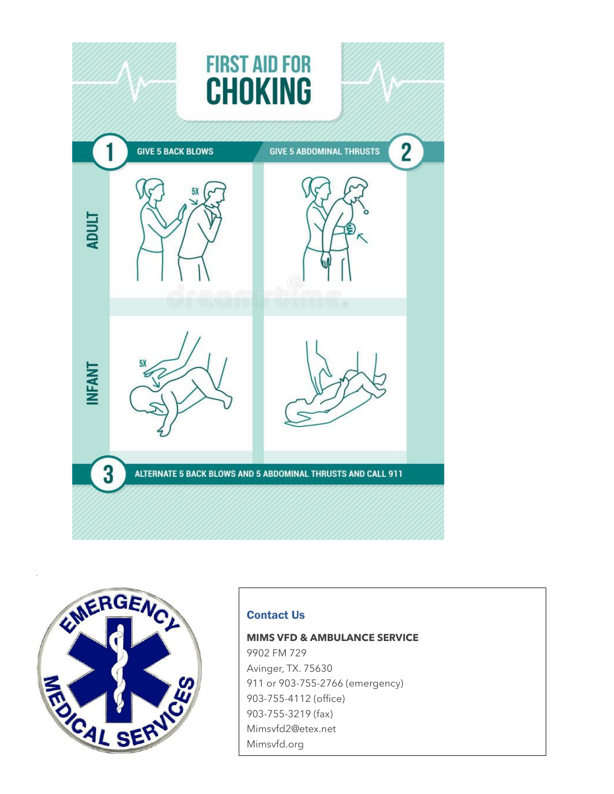



`

## Contact Us

**MIMS VFD & AMBULANCE SERVICE**  9902 FM 729 Avinger, TX. 75630 911 or 903 -755 -2766 (emergency) 903 -755 -4112 (office) 903 -755 -3219 (fax) Mimsvfd2@etex.net Mimsvfd.org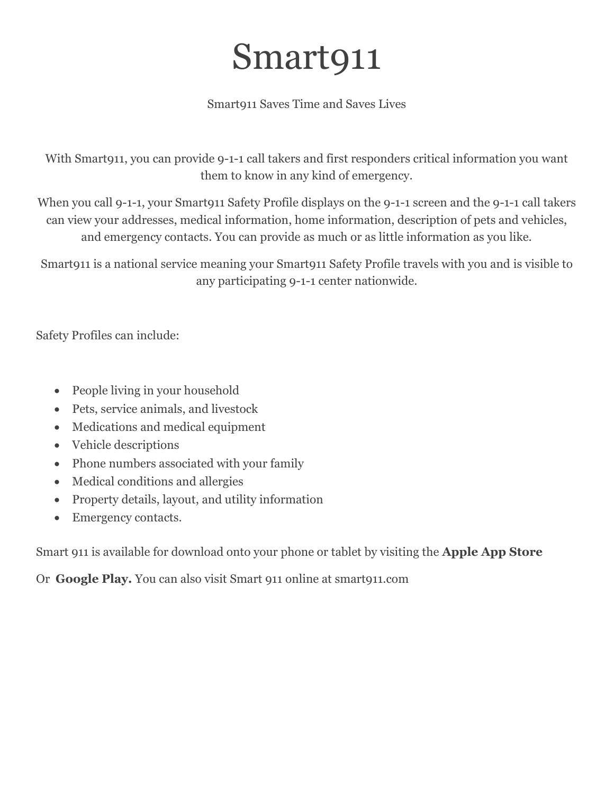# Smart911

## Smart911 Saves Time and Saves Lives

With Smart911, you can provide 9-1-1 call takers and first responders critical information you want them to know in any kind of emergency.

When you call 9-1-1, your Smart911 Safety Profile displays on the 9-1-1 screen and the 9-1-1 call takers can view your addresses, medical information, home information, description of pets and vehicles, and emergency contacts. You can provide as much or as little information as you like.

Smart911 is a national service meaning your Smart911 Safety Profile travels with you and is visible to any participating 9-1-1 center nationwide.

Safety Profiles can include:

- People living in your household
- Pets, service animals, and livestock
- Medications and medical equipment
- Vehicle descriptions
- Phone numbers associated with your family
- Medical conditions and allergies
- Property details, layout, and utility information
- Emergency contacts.

Smart 911 is available for download onto your phone or tablet by visiting the **Apple App Store** 

Or **Google Play.** You can also visit Smart 911 online at smart911.com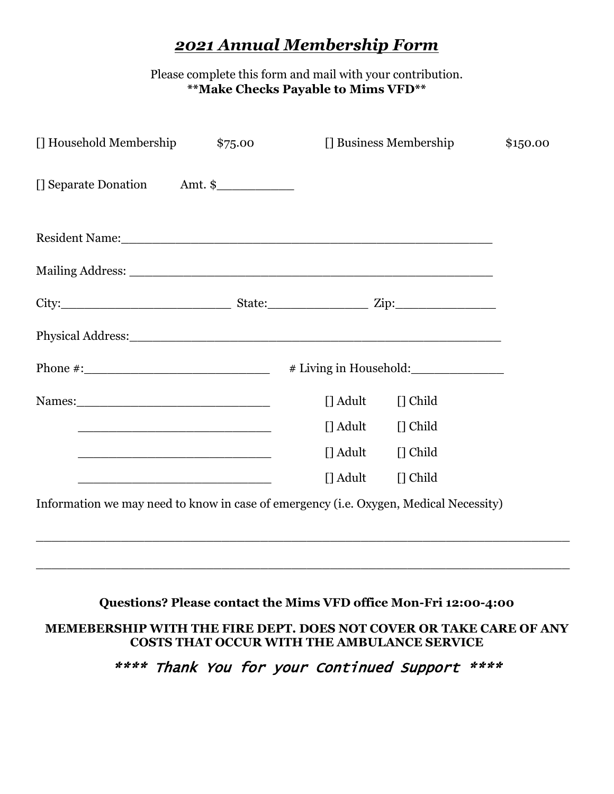## *2021 Annual Membership Form*

Please complete this form and mail with your contribution. **\*\*Make Checks Payable to Mims VFD\*\***

| [] Household Membership                                                                                                                                                                                                       | \$75.00    |               | [] Business Membership | \$150.00 |
|-------------------------------------------------------------------------------------------------------------------------------------------------------------------------------------------------------------------------------|------------|---------------|------------------------|----------|
| [] Separate Donation Amt. \$                                                                                                                                                                                                  |            |               |                        |          |
| Resident Name: 1988 and 2008 and 2008 and 2008 and 2008 and 2008 and 2008 and 2008 and 2008 and 2008 and 2008 and 2008 and 2008 and 2008 and 2008 and 2008 and 2008 and 2008 and 2008 and 2008 and 2008 and 2008 and 2008 and |            |               |                        |          |
|                                                                                                                                                                                                                               |            |               |                        |          |
|                                                                                                                                                                                                                               | City: 2ip: |               |                        |          |
|                                                                                                                                                                                                                               |            |               |                        |          |
|                                                                                                                                                                                                                               |            |               |                        |          |
|                                                                                                                                                                                                                               |            | $\prod$ Adult | $\prod$ Child          |          |
| <u> 1989 - Johann John Stone, meilich aus der Stone († 1908)</u>                                                                                                                                                              |            | [] Adult      | $[]$ Child             |          |
| <u> 1989 - Johann Barn, mars and de Branch Barn, mars and de Branch Barn, mars and de Branch Barn, mars and de Br</u>                                                                                                         |            | $\prod$ Adult | $\prod$ Child          |          |
| <u> 1980 - Johann John Stone, mars eta biztanleria (h. 1980).</u>                                                                                                                                                             |            | $\prod$ Adult | $\prod$ Child          |          |
| Information we may need to know in case of emergency (i.e. Oxygen, Medical Necessity)                                                                                                                                         |            |               |                        |          |
|                                                                                                                                                                                                                               |            |               |                        |          |
|                                                                                                                                                                                                                               |            |               |                        |          |

## **Questions? Please contact the Mims VFD office Mon-Fri 12:00-4:00**

### **MEMEBERSHIP WITH THE FIRE DEPT. DOES NOT COVER OR TAKE CARE OF ANY COSTS THAT OCCUR WITH THE AMBULANCE SERVICE**

\*\*\*\* Thank You for your Continued Support \*\*\*\*